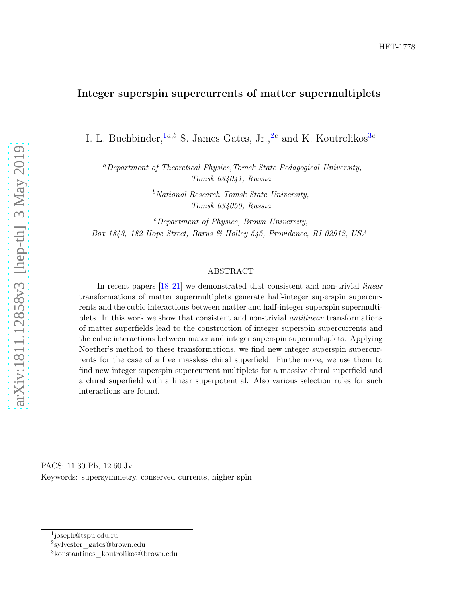# Integer superspin supercurrents of matter supermultiplets

I. L. Buchbinder,  $a,b$  S. James Gates, Jr.,  $2c$  $2c$  and K. Koutrolikos  $3c$  $3c$ 

<sup>a</sup>Department of Theoretical Physics,Tomsk State Pedagogical University, Tomsk 634041, Russia

> $b$ National Research Tomsk State University, Tomsk 634050, Russia

 $c$ Department of Physics, Brown University, Box 1843, 182 Hope Street, Barus & Holley 545, Providence, RI 02912, USA

#### ABSTRACT

In recent papers [\[18,](#page-13-0) [21\]](#page-13-1) we demonstrated that consistent and non-trivial *linear* transformations of matter supermultiplets generate half-integer superspin supercurrents and the cubic interactions between matter and half-integer superspin supermultiplets. In this work we show that consistent and non-trivial antilinear transformations of matter superfields lead to the construction of integer superspin supercurrents and the cubic interactions between mater and integer superspin supermultiplets. Applying Noether's method to these transformations, we find new integer superspin supercurrents for the case of a free massless chiral superfield. Furthermore, we use them to find new integer superspin supercurrent multiplets for a massive chiral superfield and a chiral superfield with a linear superpotential. Also various selection rules for such interactions are found.

PACS: 11.30.Pb, 12.60.Jv Keywords: supersymmetry, conserved currents, higher spin

<sup>1</sup> joseph@tspu.edu.ru

<span id="page-0-0"></span><sup>2</sup> sylvester\_gates@brown.edu

<span id="page-0-2"></span><span id="page-0-1"></span><sup>3</sup>konstantinos\_koutrolikos@brown.edu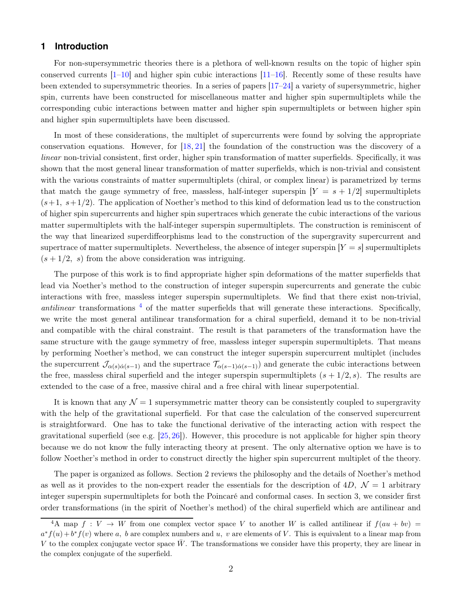# **1 Introduction**

For non-supersymmetric theories there is a plethora of well-known results on the topic of higher spin conserved currents [\[1](#page-12-0)[–10\]](#page-13-2) and higher spin cubic interactions [\[11](#page-13-3)[–16\]](#page-13-4). Recently some of these results have been extended to supersymmetric theories. In a series of papers [\[17](#page-13-5)[–24\]](#page-14-0) a variety of supersymmetric, higher spin, currents have been constructed for miscellaneous matter and higher spin supermultiplets while the corresponding cubic interactions between matter and higher spin supermultiplets or between higher spin and higher spin supermultiplets have been discussed.

In most of these considerations, the multiplet of supercurrents were found by solving the appropriate conservation equations. However, for [\[18,](#page-13-0) [21\]](#page-13-1) the foundation of the construction was the discovery of a linear non-trivial consistent, first order, higher spin transformation of matter superfields. Specifically, it was shown that the most general linear transformation of matter superfields, which is non-trivial and consistent with the various constraints of matter supermultiplets (chiral, or complex linear) is parametrized by terms that match the gauge symmetry of free, massless, half-integer superspin  $Y = s + 1/2$  supermultiplets  $(s+1, s+1/2)$ . The application of Noether's method to this kind of deformation lead us to the construction of higher spin supercurrents and higher spin supertraces which generate the cubic interactions of the various matter supermultiplets with the half-integer superspin supermultiplets. The construction is reminiscent of the way that linearized superdiffeorphisms lead to the construction of the supergravity supercurrent and supertrace of matter supermultiplets. Nevertheless, the absence of integer superspin  $|Y = s|$  supermultiplets  $(s + 1/2, s)$  from the above consideration was intriguing.

The purpose of this work is to find appropriate higher spin deformations of the matter superfields that lead via Noether's method to the construction of integer superspin supercurrents and generate the cubic interactions with free, massless integer superspin supermultiplets. We find that there exist non-trivial, antilinear transformations  $<sup>4</sup>$  $<sup>4</sup>$  $<sup>4</sup>$  of the matter superfields that will generate these interactions. Specifically,</sup> we write the most general antilinear transformation for a chiral superfield, demand it to be non-trivial and compatible with the chiral constraint. The result is that parameters of the transformation have the same structure with the gauge symmetry of free, massless integer superspin supermultiplets. That means by performing Noether's method, we can construct the integer superspin supercurrent multiplet (includes the supercurrent  $\mathcal{J}_{\alpha(s)\dot{\alpha}(s-1)}$  and the supertrace  $\mathcal{T}_{\alpha(s-1)\dot{\alpha}(s-1)}$  and generate the cubic interactions between the free, massless chiral superfield and the integer superspin supermultiplets  $(s + 1/2, s)$ . The results are extended to the case of a free, massive chiral and a free chiral with linear superpotential.

It is known that any  $\mathcal{N} = 1$  supersymmetric matter theory can be consistently coupled to supergravity with the help of the gravitational superfield. For that case the calculation of the conserved supercurrent is straightforward. One has to take the functional derivative of the interacting action with respect the gravitational superfield (see e.g. [\[25,](#page-14-1) [26\]](#page-14-2)). However, this procedure is not applicable for higher spin theory because we do not know the fully interacting theory at present. The only alternative option we have is to follow Noether's method in order to construct directly the higher spin supercurrent multiplet of the theory.

The paper is organized as follows. Section 2 reviews the philosophy and the details of Noether's method as well as it provides to the non-expert reader the essentials for the description of  $4D$ ,  $\mathcal{N}=1$  arbitrary integer superspin supermultiplets for both the Poincaré and conformal cases. In section 3, we consider first order transformations (in the spirit of Noether's method) of the chiral superfield which are antilinear and

<span id="page-1-0"></span><sup>&</sup>lt;sup>4</sup>A map  $f: V \to W$  from one complex vector space V to another W is called antilinear if  $f(au + bv)$  $a^*f(u) + b^*f(v)$  where a, b are complex numbers and u, v are elements of V. This is equivalent to a linear map from V to the complex conjugate vector space  $\bar{W}$ . The transformations we consider have this property, they are linear in the complex conjugate of the superfield.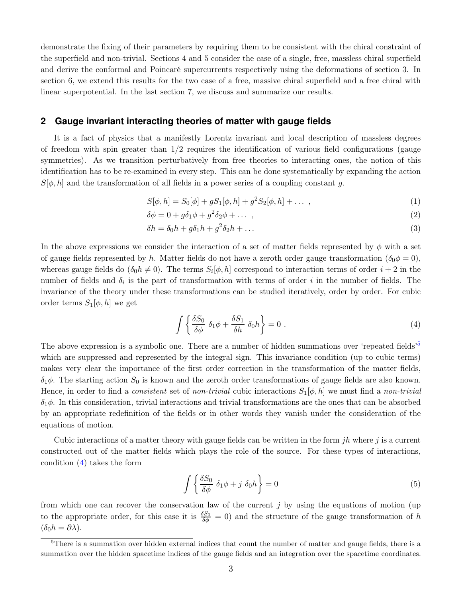demonstrate the fixing of their parameters by requiring them to be consistent with the chiral constraint of the superfield and non-trivial. Sections 4 and 5 consider the case of a single, free, massless chiral superfield and derive the conformal and Poincaré supercurrents respectively using the deformations of section 3. In section 6, we extend this results for the two case of a free, massive chiral superfield and a free chiral with linear superpotential. In the last section 7, we discuss and summarize our results.

## **2 Gauge invariant interacting theories of matter with gauge fields**

It is a fact of physics that a manifestly Lorentz invariant and local description of massless degrees of freedom with spin greater than  $1/2$  requires the identification of various field configurations (gauge symmetries). As we transition perturbatively from free theories to interacting ones, the notion of this identification has to be re-examined in every step. This can be done systematically by expanding the action  $S[\phi, h]$  and the transformation of all fields in a power series of a coupling constant g.

$$
S[\phi, h] = S_0[\phi] + gS_1[\phi, h] + g^2S_2[\phi, h] + \dots \,, \tag{1}
$$

$$
\delta\phi = 0 + g\delta_1\phi + g^2\delta_2\phi + \dots \tag{2}
$$

$$
\delta h = \delta_0 h + g \delta_1 h + g^2 \delta_2 h + \dots \tag{3}
$$

In the above expressions we consider the interaction of a set of matter fields represented by  $\phi$  with a set of gauge fields represented by h. Matter fields do not have a zeroth order gauge transformation ( $\delta_0 \phi = 0$ ), whereas gauge fields do  $(\delta_0 h \neq 0)$ . The terms  $S_i[\phi, h]$  correspond to interaction terms of order  $i + 2$  in the number of fields and  $\delta_i$  is the part of transformation with terms of order i in the number of fields. The invariance of the theory under these transformations can be studied iteratively, order by order. For cubic order terms  $S_1[\phi, h]$  we get

<span id="page-2-1"></span>
$$
\int \left\{ \frac{\delta S_0}{\delta \phi} \ \delta_1 \phi + \frac{\delta S_1}{\delta h} \ \delta_0 h \right\} = 0 \ . \tag{4}
$$

The above expression is a symbolic one. There are a number of hidden summations over 'repeated fields'<sup>[5](#page-2-0)</sup> which are suppressed and represented by the integral sign. This invariance condition (up to cubic terms) makes very clear the importance of the first order correction in the transformation of the matter fields,  $\delta_1\phi$ . The starting action  $S_0$  is known and the zeroth order transformations of gauge fields are also known. Hence, in order to find a *consistent* set of *non-trivial* cubic interactions  $S_1[\phi, h]$  we must find a *non-trivial*  $\delta_1\phi$ . In this consideration, trivial interactions and trivial transformations are the ones that can be absorbed by an appropriate redefinition of the fields or in other words they vanish under the consideration of the equations of motion.

Cubic interactions of a matter theory with gauge fields can be written in the form  $jh$  where j is a current constructed out of the matter fields which plays the role of the source. For these types of interactions, condition [\(4\)](#page-2-1) takes the form

<span id="page-2-2"></span>
$$
\int \left\{ \frac{\delta S_0}{\delta \phi} \ \delta_1 \phi + j \ \delta_0 h \right\} = 0 \tag{5}
$$

from which one can recover the conservation law of the current  $j$  by using the equations of motion (up) to the appropriate order, for this case it is  $\frac{\delta S_0}{\delta \phi} = 0$  and the structure of the gauge transformation of h  $(\delta_0 h = \partial \lambda).$ 

<span id="page-2-0"></span> $5$ There is a summation over hidden external indices that count the number of matter and gauge fields, there is a summation over the hidden spacetime indices of the gauge fields and an integration over the spacetime coordinates.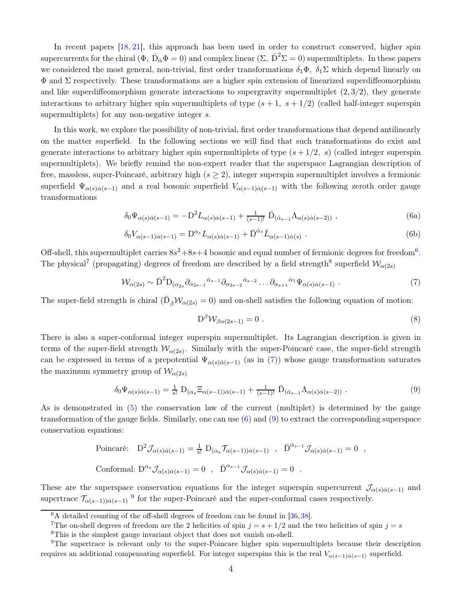In recent papers [\[18,](#page-13-0) [21\]](#page-13-1), this approach has been used in order to construct conserved, higher spin supercurrents for the chiral  $(\Phi,\,\bar{\rm D}_{\dot{\alpha}}\Phi=0)$  and complex linear  $(\Sigma,\,\bar{\rm D}^2\Sigma=0)$  supermultiplets. In these papers we considered the most general, non-trivial, first order transformations  $\delta_1\Phi$ ,  $\delta_1\Sigma$  which depend linearly on  $\Phi$  and  $\Sigma$  respectively. These transformations are a higher spin extension of linearized superdiffeomorphism and like superdiffeomorphism generate interactions to supergravity supermultiplet  $(2, 3/2)$ , they generate interactions to arbitrary higher spin supermultiplets of type  $(s + 1, s + 1/2)$  (called half-integer superspin supermultiplets) for any non-negative integer s.

In this work, we explore the possibility of non-trivial, first order transformations that depend antilinearly on the matter superfield. In the following sections we will find that such transformations do exist and generate interactions to arbitrary higher spin supermultiplets of type  $(s + 1/2, s)$  (called integer superspin supermultiplets). We briefly remind the non-expert reader that the superspace Lagrangian description of free, massless, super-Poincaré, arbitrary high  $(s \geq 2)$ , integer superspin supermultiplet involves a fermionic superfield  $\Psi_{\alpha(s)\dot{\alpha}(s-1)}$  and a real bosonic superfield  $V_{\alpha(s-1)\dot{\alpha}(s-1)}$  with the following zeroth order gauge transformations

$$
\delta_0 \Psi_{\alpha(s)\dot{\alpha}(s-1)} = -D^2 L_{\alpha(s)\dot{\alpha}(s-1)} + \frac{1}{(s-1)!} \bar{D}_{(\dot{\alpha}_{s-1}} \Lambda_{\alpha(s)\dot{\alpha}(s-2))} ,
$$
\n(6a)

$$
\delta_0 V_{\alpha(s-1)\dot{\alpha}(s-1)} = \mathcal{D}^{\alpha_s} L_{\alpha(s)\dot{\alpha}(s-1)} + \bar{\mathcal{D}}^{\dot{\alpha}_s} \bar{L}_{\alpha(s-1)\dot{\alpha}(s)} . \tag{6b}
$$

Off-shell, this supermultiplet carries  $8s^2+8s+4$  bosonic and equal number of fermionic degrees for freedom<sup>[6](#page-3-0)</sup>. The physical<sup>[7](#page-3-1)</sup> (propagating) degrees of freedom are described by a field strength<sup>[8](#page-3-2)</sup> superfield  $\mathcal{W}_{\alpha(2s)}$ 

$$
\mathcal{W}_{\alpha(2s)} \sim \bar{\mathbf{D}}^2 \mathbf{D}_{(\alpha_{2s}} \partial_{\alpha_{2s-1}} \dot{\alpha}_{s-1} \partial_{\alpha_{2s-2}} \dot{\alpha}_{s-2} \dots \partial_{\alpha_{s+1}} \dot{\alpha}_1 \Psi_{\alpha(s)\dot{\alpha}(s-1)} . \tag{7}
$$

The super-field strength is chiral  $(\bar{\mathrm{D}}_{\dot{\beta}}\mathcal{W}_{\alpha(2s)}=0)$  and on-shell satisfies the following equation of motion:

<span id="page-3-6"></span><span id="page-3-4"></span><span id="page-3-3"></span>
$$
D^{\beta} \mathcal{W}_{\beta \alpha (2s-1)} = 0 \tag{8}
$$

There is also a super-conformal integer superspin supermultiplet. Its Lagrangian description is given in terms of the super-field strength  $\mathcal{W}_{\alpha(2s)}$ . Similarly with the super-Poincaré case, the super-field strength can be expressed in terms of a prepotential  $\Psi_{\alpha(s)\dot{\alpha}(s-1)}$  (as in [\(7\)](#page-3-3)) whose gauge transformation saturates the maximum symmetry group of  $\mathcal{W}_{\alpha(2s)}$ 

$$
\delta_0 \Psi_{\alpha(s)\dot{\alpha}(s-1)} = \frac{1}{s!} \mathcal{D}_{(\alpha_s} \Xi_{\alpha(s-1))\dot{\alpha}(s-1)} + \frac{1}{(s-1)!} \bar{\mathcal{D}}_{(\dot{\alpha}_{s-1}} \Lambda_{\alpha(s)\dot{\alpha}(s-2))} . \tag{9}
$$

As is demonstrated in [\(5\)](#page-2-2) the conservation law of the current (multiplet) is determined by the gauge transformation of the gauge fields. Similarly, one can use (6) and [\(9\)](#page-3-4) to extract the corresponding superspace conservation equations:

Poincaré: 
$$
D^2 \mathcal{J}_{\alpha(s)\dot{\alpha}(s-1)} = \frac{1}{s!} D_{(\alpha_s} \mathcal{T}_{\alpha(s-1))\dot{\alpha}(s-1)}
$$
,  $\bar{D}^{\dot{\alpha}_{s-1}} \mathcal{J}_{\alpha(s)\dot{\alpha}(s-1)} = 0$ ,  
Conformal:  $D^{\alpha_s} \mathcal{J}_{\alpha(s)\dot{\alpha}(s-1)} = 0$ ,  $\bar{D}^{\alpha_{s-1}} \mathcal{J}_{\alpha(s)\dot{\alpha}(s-1)} = 0$ .

These are the superspace conservation equations for the integer superspin supercurrent  $\mathcal{J}_{\alpha(s)\dot{\alpha}(s-1)}$  and supertrace  $\mathcal{T}_{\alpha(s-1),\dot{\alpha}(s-1)}$  <sup>[9](#page-3-5)</sup> for the super-Poincaré and the super-conformal cases respectively.

<sup>&</sup>lt;sup>6</sup>A detailed counting of the off-shell degrees of freedom can be found in [\[36,](#page-14-3) [38\]](#page-14-4).

<span id="page-3-0"></span><sup>&</sup>lt;sup>7</sup>The on-shell degrees of freedom are the 2 helicities of spin  $j = s + 1/2$  and the two helicities of spin  $j = s$ 

<span id="page-3-2"></span><span id="page-3-1"></span><sup>8</sup>This is the simplest gauge invariant object that does not vanish on-shell.

<span id="page-3-5"></span><sup>&</sup>lt;sup>9</sup>The supertrace is relevant only to the super-Poincare higher spin supermultiplets because their description requires an additional compensating superfield. For integer superspins this is the real  $V_{\alpha(s-1)\dot{\alpha}(s-1)}$  superfield.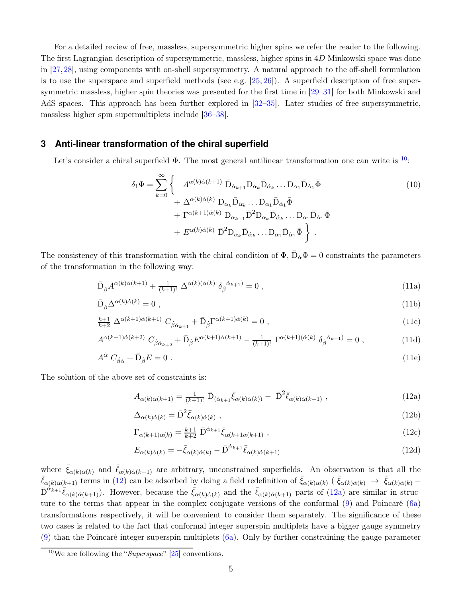For a detailed review of free, massless, supersymmetric higher spins we refer the reader to the following. The first Lagrangian description of supersymmetric, massless, higher spins in 4D Minkowski space was done in [\[27,](#page-14-5)[28\]](#page-14-6), using components with on-shell supersymmetry. A natural approach to the off-shell formulation is to use the superspace and superfield methods (see e.g.  $[25, 26]$  $[25, 26]$ ). A superfield description of free supersymmetric massless, higher spin theories was presented for the first time in [\[29](#page-14-7)[–31\]](#page-14-8) for both Minkowski and AdS spaces. This approach has been further explored in [\[32–](#page-14-9)[35\]](#page-14-10). Later studies of free supersymmetric, massless higher spin supermultiplets include [\[36](#page-14-3)[–38\]](#page-14-4).

## **3 Anti-linear transformation of the chiral superfield**

Let's consider a chiral superfield  $\Phi$ . The most general antilinear transformation one can write is  $^{10}$  $^{10}$  $^{10}$ .

$$
\delta_1 \Phi = \sum_{k=0}^{\infty} \left\{ A^{\alpha(k)\dot{\alpha}(k+1)} \bar{D}_{\dot{\alpha}_{k+1}} D_{\alpha_k} \bar{D}_{\dot{\alpha}_k} \dots D_{\alpha_1} \bar{D}_{\dot{\alpha}_1} \bar{\Phi} \right. \n+ \Delta^{\alpha(k)\dot{\alpha}(k)} D_{\alpha_k} \bar{D}_{\dot{\alpha}_k} \dots D_{\alpha_1} \bar{D}_{\dot{\alpha}_1} \bar{\Phi} \n+ \Gamma^{\alpha(k+1)\dot{\alpha}(k)} D_{\alpha_{k+1}} \bar{D}^2 D_{\alpha_k} \bar{D}_{\dot{\alpha}_k} \dots D_{\alpha_1} \bar{D}_{\dot{\alpha}_1} \bar{\Phi} \n+ E^{\alpha(k)\dot{\alpha}(k)} \bar{D}^2 D_{\alpha_k} \bar{D}_{\dot{\alpha}_k} \dots D_{\alpha_1} \bar{D}_{\dot{\alpha}_1} \bar{\Phi} \right\}.
$$
\n(10)

The consistency of this transformation with the chiral condition of  $\Phi$ ,  $\bar{D}_{\dot{\alpha}}\Phi = 0$  constraints the parameters of the transformation in the following way:

$$
\bar{\mathcal{D}}_{\dot{\beta}} A^{\alpha(k)\dot{\alpha}(k+1)} + \frac{1}{(k+1)!} \Delta^{\alpha(k)(\dot{\alpha}(k)} \delta_{\dot{\beta}}{}^{\dot{\alpha}_{k+1})} = 0 , \qquad (11a)
$$

$$
\bar{\mathcal{D}}_{\dot{\beta}} \Delta^{\alpha(k)\dot{\alpha}(k)} = 0 \tag{11b}
$$

$$
\frac{k+1}{k+2} \Delta^{\alpha(k+1)\dot{\alpha}(k+1)} C_{\dot{\beta}\dot{\alpha}_{k+1}} + \bar{D}_{\dot{\beta}} \Gamma^{\alpha(k+1)\dot{\alpha}(k)} = 0 ,
$$
\n(11c)

$$
A^{\alpha(k+1)\dot{\alpha}(k+2)} C_{\dot{\beta}\dot{\alpha}_{k+2}} + \bar{\mathcal{D}}_{\dot{\beta}} E^{\alpha(k+1)\dot{\alpha}(k+1)} - \frac{1}{(k+1)!} \Gamma^{\alpha(k+1)(\dot{\alpha}(k)} \delta_{\dot{\beta}}^{\dot{\alpha}_{k+1}} = 0 , \qquad (11d)
$$

$$
A^{\dot{\alpha}} C_{\dot{\beta}\dot{\alpha}} + \bar{D}_{\dot{\beta}} E = 0 \tag{11e}
$$

The solution of the above set of constraints is:

<span id="page-4-1"></span>
$$
A_{\alpha(k)\dot{\alpha}(k+1)} = \frac{1}{(k+1)!} \bar{\mathcal{D}}_{(\dot{\alpha}_{k+1}\bar{\xi}_{\alpha(k)\dot{\alpha}(k))} - \bar{\mathcal{D}}^2 \bar{\ell}_{\alpha(k)\dot{\alpha}(k+1)}, \qquad (12a)
$$

$$
\Delta_{\alpha(k)\dot{\alpha}(k)} = \bar{\mathbf{D}}^2 \bar{\xi}_{\alpha(k)\dot{\alpha}(k)} , \qquad (12b)
$$

$$
\Gamma_{\alpha(k+1)\dot{\alpha}(k)} = \frac{k+1}{k+2} \bar{\mathcal{D}}^{\dot{\alpha}_{k+1}} \bar{\xi}_{\alpha(k+1\dot{\alpha}(k+1))}, \qquad (12c)
$$

$$
E_{\alpha(k)\dot{\alpha}(k)} = -\bar{\xi}_{\alpha(k)\dot{\alpha}(k)} - \bar{D}^{\dot{\alpha}_{k+1}}\bar{\ell}_{\alpha(k)\dot{\alpha}(k+1)}
$$
\n(12d)

where  $\bar{\xi}_{\alpha(k)\dot{\alpha}(k)}$  and  $\bar{\ell}_{\alpha(k)\dot{\alpha}(k+1)}$  are arbitrary, unconstrained superfields. An observation is that all the  $\bar{\ell}_{\alpha(k)\dot{\alpha}(k+1)}$  terms in (12) can be adsorbed by doing a field redefinition of  $\bar{\xi}_{\alpha(k)\dot{\alpha}(k)}$  ( $\bar{\xi}_{\alpha(k)\dot{\alpha}(k)} \rightarrow \bar{\xi}_{\alpha(k)\dot{\alpha}(k)}$  –  $\bar{D}^{\hat{\alpha}_{k+1}}\bar{\ell}_{\alpha(k)\dot{\alpha}(k+1)}$ ). However, because the  $\bar{\xi}_{\alpha(k)\dot{\alpha}(k)}$  and the  $\bar{\ell}_{\alpha(k)\dot{\alpha}(k+1)}$  parts of [\(12a\)](#page-4-1) are similar in structure to the terms that appear in the complex conjugate versions of the conformal [\(9\)](#page-3-4) and Poincaré [\(6a\)](#page-3-6) transformations respectively, it will be convenient to consider them separately. The significance of these two cases is related to the fact that conformal integer superspin multiplets have a bigger gauge symmetry  $(9)$  than the Poincaré integer superspin multiplets  $(6a)$ . Only by further constraining the gauge parameter

<span id="page-4-0"></span><sup>&</sup>lt;sup>10</sup>We are following the "*Superspace*" [\[25\]](#page-14-1) conventions.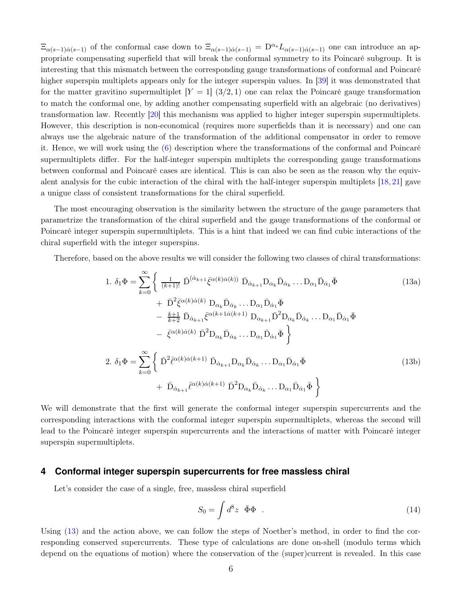$\Xi_{\alpha(s-1)\dot{\alpha}(s-1)}$  of the conformal case down to  $\Xi_{\alpha(s-1)\dot{\alpha}(s-1)} = D^{\alpha_s}L_{\alpha(s-1)\dot{\alpha}(s-1)}$  one can introduce an appropriate compensating superfield that will break the conformal symmetry to its Poincaré subgroup. It is interesting that this mismatch between the corresponding gauge transformations of conformal and Poincaré higher superspin multiplets appears only for the integer superspin values. In [\[39\]](#page-14-11) it was demonstrated that for the matter gravitino supermultiplet  $[Y = 1]$  (3/2, 1) one can relax the Poincaré gauge transformation to match the conformal one, by adding another compensating superfield with an algebraic (no derivatives) transformation law. Recently [\[20\]](#page-13-6) this mechanism was applied to higher integer superspin supermultiplets. However, this description is non-economical (requires more superfields than it is necessary) and one can always use the algebraic nature of the transformation of the additional compensator in order to remove it. Hence, we will work using the (6) description where the transformations of the conformal and Poincaré supermultiplets differ. For the half-integer superspin multiplets the corresponding gauge transformations between conformal and Poincaré cases are identical. This is can also be seen as the reason why the equivalent analysis for the cubic interaction of the chiral with the half-integer superspin multiplets [\[18,](#page-13-0) [21\]](#page-13-1) gave a unigue class of consistent transformations for the chiral superfield.

The most encouraging observation is the similarity between the structure of the gauge parameters that parametrize the transformation of the chiral superfield and the gauge transformations of the conformal or Poincaré integer superspin supermultiplets. This is a hint that indeed we can find cubic interactions of the chiral superfield with the integer superspins.

Therefore, based on the above results we will consider the following two classes of chiral transformations:

<span id="page-5-0"></span>1. 
$$
\delta_1 \Phi = \sum_{k=0}^{\infty} \left\{ \frac{1}{(k+1)!} \bar{D}^{(\dot{\alpha}_{k+1}} \bar{\xi}^{\alpha(k)\dot{\alpha}(k))} \bar{D}_{\dot{\alpha}_{k+1}} D_{\alpha_k} \bar{D}_{\dot{\alpha}_k} \dots D_{\alpha_1} \bar{D}_{\dot{\alpha}_1} \bar{\Phi} \right\}
$$
(13a)  
+ 
$$
\bar{D}^2 \bar{\xi}^{\alpha(k)\dot{\alpha}(k)} D_{\alpha_k} \bar{D}_{\dot{\alpha}_k} \dots D_{\alpha_1} \bar{D}_{\dot{\alpha}_1} \bar{\Phi} \n- \frac{k+1}{k+2} \bar{D}_{\dot{\alpha}_{k+1}} \bar{\xi}^{\alpha(k+1\dot{\alpha}(k+1)} D_{\alpha_{k+1}} \bar{D}^2 D_{\alpha_k} \bar{D}_{\dot{\alpha}_k} \dots D_{\alpha_1} \bar{D}_{\dot{\alpha}_1} \bar{\Phi} \n- \bar{\xi}^{\alpha(k)\dot{\alpha}(k)} \bar{D}^2 D_{\alpha_k} \bar{D}_{\dot{\alpha}_k} \dots D_{\alpha_1} \bar{D}_{\dot{\alpha}_1} \bar{\Phi} \n2. 
$$
\delta_1 \Phi = \sum_{k=0}^{\infty} \left\{ \bar{D}^2 \bar{\ell}^{\alpha(k)\dot{\alpha}(k+1)} \bar{D}_{\dot{\alpha}_{k+1}} D_{\alpha_k} \bar{D}_{\dot{\alpha}_k} \dots D_{\alpha_1} \bar{D}_{\dot{\alpha}_1} \bar{\Phi} \right\}
$$
(13b)  
+ 
$$
\bar{D}_{\dot{\alpha}_{k+1}} \bar{\ell}^{\alpha(k)\dot{\alpha}(k+1)} \bar{D}^2 D_{\alpha_k} \bar{D}_{\dot{\alpha}_k} \dots D_{\alpha_1} \bar{D}_{\dot{\alpha}_1} \bar{\Phi} \right\}
$$
$$

We will demonstrate that the first will generate the conformal integer superspin supercurrents and the corresponding interactions with the conformal integer superspin supermultiplets, whereas the second will lead to the Poincaré integer superspin supercurrents and the interactions of matter with Poincaré integer superspin supermultiplets.

## **4 Conformal integer superspin supercurrents for free massless chiral**

Let's consider the case of a single, free, massless chiral superfield

<span id="page-5-2"></span><span id="page-5-1"></span>
$$
S_0 = \int d^8 z \ \bar{\Phi} \Phi \ . \tag{14}
$$

Using (13) and the action above, we can follow the steps of Noether's method, in order to find the corresponding conserved supercurrents. These type of calculations are done on-shell (modulo terms which depend on the equations of motion) where the conservation of the (super)current is revealed. In this case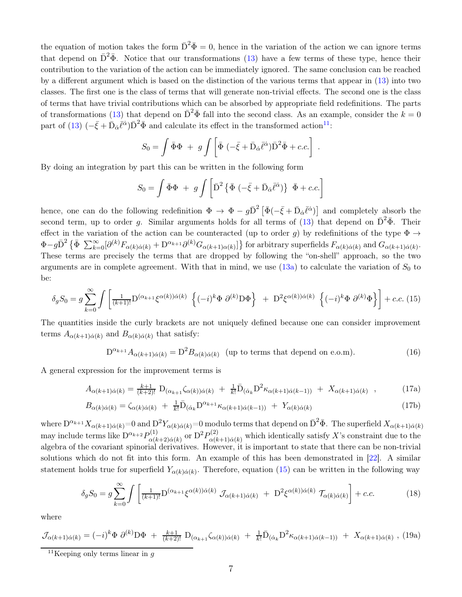the equation of motion takes the form  $\bar{D}^2 \bar{\Phi} = 0$ , hence in the variation of the action we can ignore terms that depend on  $\bar{D}^2\bar{\Phi}$ . Notice that our transformations (13) have a few terms of these type, hence their contribution to the variation of the action can be immediately ignored. The same conclusion can be reached by a different argument which is based on the distinction of the various terms that appear in (13) into two classes. The first one is the class of terms that will generate non-trivial effects. The second one is the class of terms that have trivial contributions which can be absorbed by appropriate field redefinitions. The parts of transformations (13) that depend on  $\bar{\mathrm{D}}^2 \bar{\Phi}$  fall into the second class. As an example, consider the  $k = 0$ part of (13)  $\left(-\bar{\xi}+\bar{D}_{\dot{\alpha}}\bar{\ell}^{\dot{\alpha}}\right)\bar{D}^{2}\bar{\Phi}$  and calculate its effect in the transformed action<sup>[11](#page-6-0)</sup>:

$$
S_0 = \int \bar{\Phi} \Phi + g \int \left[ \bar{\Phi} \left( -\bar{\xi} + \bar{D}_{\dot{\alpha}} \bar{\ell}^{\dot{\alpha}} \right) \bar{D}^2 \bar{\Phi} + c.c. \right] .
$$

By doing an integration by part this can be written in the following form

<span id="page-6-1"></span>
$$
S_0 = \int \bar{\Phi}\Phi + g \int \left[ \bar{D}^2 \left\{ \bar{\Phi} \left( -\bar{\xi} + \bar{D}_{\dot{\alpha}} \bar{\ell}^{\dot{\alpha}} \right) \right\} \bar{\Phi} + c.c. \right]
$$

hence, one can do the following redefinition  $\Phi \to \Phi - g\bar{D}^2 \left[\bar{\Phi}(-\bar{\xi} + \bar{D}_{\dot{\alpha}}\bar{\ell}^{\dot{\alpha}})\right]$  and completely absorb the second term, up to order g. Similar arguments holds for all terms of  $(13)$  that depend on  $\bar{\mathrm{D}}^2\bar{\Phi}$ . Their effect in the variation of the action can be counteracted (up to order g) by redefinitions of the type  $\Phi \rightarrow$  $\Phi - g \bar{D}^2 \left\{ \bar{\Phi} \sum_{k=0}^{\infty} [\partial^{(k)} F_{\alpha(k)\dot{\alpha}(k)} + D^{\alpha_{k+1}} \partial^{(k)} G_{\alpha(k+1)\alpha(k)}] \right\}$  for arbitrary superfields  $F_{\alpha(k)\dot{\alpha}(k)}$  and  $G_{\alpha(k+1)\dot{\alpha}(k)}$ . These terms are precisely the terms that are dropped by following the "on-shell" approach, so the two arguments are in complete agreement. With that in mind, we use  $(13a)$  to calculate the variation of  $S_0$  to be:

$$
\delta_g S_0 = g \sum_{k=0}^{\infty} \int \left[ \frac{1}{(k+1)!} \mathcal{D}^{(\alpha_{k+1}} \xi^{\alpha(k)}) \dot{\alpha}(k) \left\{ (-i)^k \Phi \partial^{(k)} \mathcal{D} \Phi \right\} \right] + \mathcal{D}^2 \xi^{\alpha(k)} \dot{\alpha}(k) \left\{ (-i)^k \Phi \partial^{(k)} \Phi \right\} \right] + c.c. (15)
$$

The quantities inside the curly brackets are not uniquely defined because one can consider improvement terms  $A_{\alpha(k+1)\dot{\alpha}(k)}$  and  $B_{\alpha(k)\dot{\alpha}(k)}$  that satisfy:

$$
D^{\alpha_{k+1}} A_{\alpha(k+1)\dot{\alpha}(k)} = D^2 B_{\alpha(k)\dot{\alpha}(k)} \quad \text{(up to terms that depend on e.o.m)}.
$$
 (16)

A general expression for the improvement terms is

$$
A_{\alpha(k+1)\dot{\alpha}(k)} = \frac{k+1}{(k+2)!} \mathcal{D}_{(\alpha_{k+1}\zeta_{\alpha}(k))\dot{\alpha}(k)} + \frac{1}{k!} \bar{\mathcal{D}}_{(\dot{\alpha}_k} \mathcal{D}^2 \kappa_{\alpha(k+1)\dot{\alpha}(k-1))} + X_{\alpha(k+1)\dot{\alpha}(k)}, \qquad (17a)
$$

$$
B_{\alpha(k)\dot{\alpha}(k)} = \zeta_{\alpha(k)\dot{\alpha}(k)} + \frac{1}{k!} \bar{D}_{(\dot{\alpha}_k} D^{\alpha_{k+1}} \kappa_{\alpha(k+1)\dot{\alpha}(k-1))} + Y_{\alpha(k)\dot{\alpha}(k)} \tag{17b}
$$

where  $D^{\alpha_{k+1}}X_{\alpha(k+1)\dot{\alpha}(k)} = 0$  and  $D^2Y_{\alpha(k)\dot{\alpha}(k)} = 0$  modulo terms that depend on  $\bar{D}^2\bar{\Phi}$ . The superfield  $X_{\alpha(k+1)\dot{\alpha}(k)}$ may include terms like  $D^{\alpha_{k+2}}P_{\alpha(k)}^{(1)}$  $p_{\alpha(k+2)\dot{\alpha}(k)}^{(1)}$  or  ${\rm D}^2P_{\alpha(k)}^{(2)}$  $\alpha^{(2)}_{\alpha(k+1)\dot{\alpha}(k)}$  which identically satisfy X's constraint due to the algebra of the covariant spinorial derivatives. However, it is important to state that there can be non-trivial solutions which do not fit into this form. An example of this has been demonstrated in [\[22\]](#page-13-7). A similar statement holds true for superfield  $Y_{\alpha(k)\dot{\alpha}(k)}$ . Therefore, equation [\(15\)](#page-6-1) can be written in the following way

$$
\delta_g S_0 = g \sum_{k=0}^{\infty} \int \left[ \frac{1}{(k+1)!} \mathcal{D}^{(\alpha_{k+1}} \xi^{\alpha(k))\dot{\alpha}(k)} \mathcal{J}_{\alpha(k+1)\dot{\alpha}(k)} + \mathcal{D}^2 \xi^{\alpha(k)\dot{\alpha}(k)} \mathcal{T}_{\alpha(k)\dot{\alpha}(k)} \right] + c.c.
$$
 (18)

where

$$
\mathcal{J}_{\alpha(k+1)\dot{\alpha}(k)} = (-i)^k \Phi \, \partial^{(k)} \mathcal{D} \Phi + \frac{k+1}{(k+2)!} \, \mathcal{D}_{(\alpha_{k+1}} \zeta_{\alpha(k))\dot{\alpha}(k)} + \frac{1}{k!} \bar{\mathcal{D}}_{(\dot{\alpha}_k} \mathcal{D}^2 \kappa_{\alpha(k+1)\dot{\alpha}(k-1))} + X_{\alpha(k+1)\dot{\alpha}(k)} \,, \, (19a)
$$

<span id="page-6-0"></span><sup>&</sup>lt;sup>11</sup>Keeping only terms linear in  $q$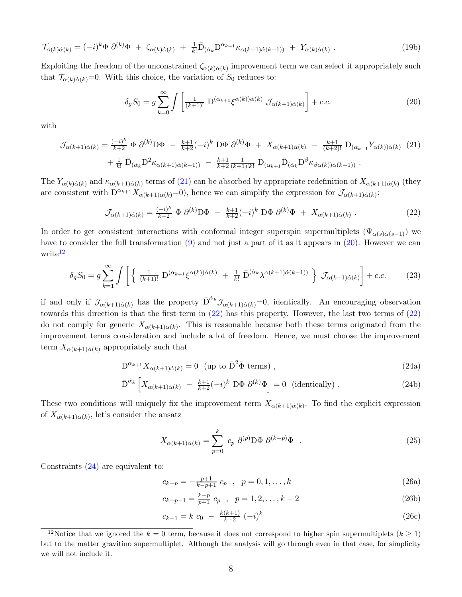$$
\mathcal{T}_{\alpha(k)\dot{\alpha}(k)} = (-i)^k \Phi \partial^{(k)} \Phi + \zeta_{\alpha(k)\dot{\alpha}(k)} + \frac{1}{k!} \bar{D}_{(\dot{\alpha}_k} D^{\alpha_{k+1}} \kappa_{\alpha(k+1)\dot{\alpha}(k-1))} + Y_{\alpha(k)\dot{\alpha}(k)}.
$$
\n(19b)

Exploiting the freedom of the unconstrained  $\zeta_{\alpha(k)\dot{\alpha}(k)}$  improvement term we can select it appropriately such that  $\mathcal{T}_{\alpha(k)\dot{\alpha}(k)}=0$ . With this choice, the variation of  $S_0$  reduces to:

<span id="page-7-1"></span><span id="page-7-0"></span>
$$
\delta_g S_0 = g \sum_{k=0}^{\infty} \int \left[ \frac{1}{(k+1)!} \ D^{(\alpha_{k+1}} \xi^{\alpha(k)}) \dot{\alpha}(k) \ \mathcal{J}_{\alpha(k+1)\dot{\alpha}(k)} \right] + c.c.
$$
 (20)

with

$$
\mathcal{J}_{\alpha(k+1)\dot{\alpha}(k)} = \frac{(-i)^k}{k+2} \Phi \partial^{(k)} \mathcal{D} \Phi - \frac{k+1}{k+2} (-i)^k \mathcal{D} \Phi \partial^{(k)} \Phi + X_{\alpha(k+1)\dot{\alpha}(k)} - \frac{k+1}{(k+2)!} \mathcal{D}_{(\alpha_{k+1}} Y_{\alpha(k))\dot{\alpha}(k)} \tag{21}
$$

$$
+ \frac{1}{k!} \bar{\mathcal{D}}_{(\dot{\alpha}_k} \mathcal{D}^2 \kappa_{\alpha(k+1)\dot{\alpha}(k-1))} - \frac{k+1}{k+2} \frac{1}{(k+1)!k!} \mathcal{D}_{(\alpha_{k+1}} \bar{\mathcal{D}}_{(\dot{\alpha}_k} \mathcal{D}^{\beta} \kappa_{\beta \alpha(k))\dot{\alpha}(k-1))}.
$$

The  $Y_{\alpha(k)\dot{\alpha}(k)}$  and  $\kappa_{\alpha(k+1)\dot{\alpha}(k)}$  terms of [\(21\)](#page-7-0) can be absorbed by appropriate redefinition of  $X_{\alpha(k+1)\dot{\alpha}(k)}$  (they are consistent with  $D^{\alpha_{k+1}} X_{\alpha(k+1)\dot{\alpha}(k)} = 0$ , hence we can simplify the expression for  $\mathcal{J}_{\alpha(k+1)\dot{\alpha}(k)}$ :

<span id="page-7-3"></span>
$$
\mathcal{J}_{\alpha(k+1)\dot{\alpha}(k)} = \frac{(-i)^k}{k+2} \Phi \partial^{(k)} D\Phi - \frac{k+1}{k+2}(-i)^k D\Phi \partial^{(k)} \Phi + X_{\alpha(k+1)\dot{\alpha}(k)}.
$$
 (22)

In order to get consistent interactions with conformal integer superspin supermultiplets  $(\Psi_{\alpha(s)\dot{\alpha}(s-1)})$  we have to consider the full transformation [\(9\)](#page-3-4) and not just a part of it as it appears in [\(20\)](#page-7-1). However we can write<sup>[12](#page-7-2)</sup>

$$
\delta_g S_0 = g \sum_{k=1}^{\infty} \int \left[ \left\{ \frac{1}{(k+1)!} \ D^{(\alpha_{k+1}} \xi^{\alpha(k)}) \dot{\alpha}(k) + \frac{1}{k!} \ \bar{D}^{(\dot{\alpha}_k} \lambda^{\alpha(k+1)\dot{\alpha}(k-1))} \right\} \ \mathcal{J}_{\alpha(k+1)\dot{\alpha}(k)} \right] + c.c. \tag{23}
$$

if and only if  $\mathcal{J}_{\alpha(k+1)\dot{\alpha}(k)}$  has the property  $\bar{D}^{\dot{\alpha}_k}\mathcal{J}_{\alpha(k+1)\dot{\alpha}(k)}=0$ , identically. An encouraging observation towards this direction is that the first term in [\(22\)](#page-7-3) has this property. However, the last two terms of [\(22\)](#page-7-3) do not comply for generic  $X_{\alpha(k+1)\dot{\alpha}(k)}$ . This is reasonable because both these terms originated from the improvement terms consideration and include a lot of freedom. Hence, we must choose the improvement term  $X_{\alpha(k+1)\dot{\alpha}(k)}$  appropriately such that

$$
D^{\alpha_{k+1}} X_{\alpha(k+1)\dot{\alpha}(k)} = 0 \quad (\text{up to } \bar{D}^2 \bar{\Phi} \text{ terms}), \qquad (24a)
$$

$$
\bar{\mathcal{D}}^{\dot{\alpha}_k} \left[ X_{\alpha(k+1)\dot{\alpha}(k)} - \frac{k+1}{k+2} (-i)^k \, \mathcal{D}\Phi \, \partial^{(k)}\Phi \right] = 0 \quad \text{(identically)} \, . \tag{24b}
$$

These two conditions will uniquely fix the improvement term  $X_{\alpha(k+1)\dot{\alpha}(k)}$ . To find the explicit expression of  $X_{\alpha(k+1)\dot{\alpha}(k)}$ , let's consider the ansatz

<span id="page-7-4"></span>
$$
X_{\alpha(k+1)\dot{\alpha}(k)} = \sum_{p=0}^{k} c_p \ \partial^{(p)} \mathcal{D} \Phi \ \partial^{(k-p)} \Phi \tag{25}
$$

Constraints (24) are equivalent to:

$$
c_{k-p} = -\frac{p+1}{k-p+1} c_p , \quad p = 0, 1, ..., k
$$
 (26a)

$$
c_{k-p-1} = \frac{k-p}{p+1} c_p , \quad p = 1, 2, \dots, k-2
$$
 (26b)

$$
c_{k-1} = k \ c_0 - \frac{k(k+1)}{k+2} \ (-i)^k \tag{26c}
$$

<span id="page-7-2"></span><sup>&</sup>lt;sup>12</sup>Notice that we ignored the  $k = 0$  term, because it does not correspond to higher spin supermultiplets  $(k \ge 1)$ but to the matter gravitino supermultiplet. Although the analysis will go through even in that case, for simplicity we will not include it.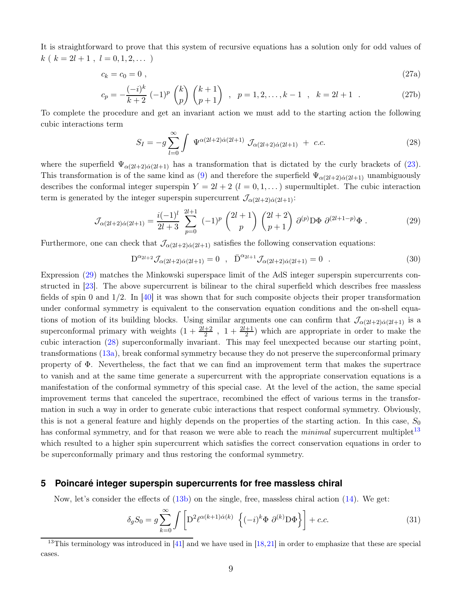It is straightforward to prove that this system of recursive equations has a solution only for odd values of  $k(k = 2l + 1, l = 0, 1, 2, ...)$ 

$$
c_k = c_0 = 0 \tag{27a}
$$

$$
c_p = -\frac{(-i)^k}{k+2} (-1)^p {k \choose p} {k+1 \choose p+1} , \quad p = 1, 2, \dots, k-1 , \quad k = 2l+1 .
$$
 (27b)

To complete the procedure and get an invariant action we must add to the starting action the following cubic interactions term

<span id="page-8-1"></span>
$$
S_I = -g \sum_{l=0}^{\infty} \int \Psi^{\alpha(2l+2)\dot{\alpha}(2l+1)} \mathcal{J}_{\alpha(2l+2)\dot{\alpha}(2l+1)} + c.c.
$$
 (28)

where the superfield  $\Psi_{\alpha(2l+2)\dot{\alpha}(2l+1)}$  has a transformation that is dictated by the curly brackets of [\(23\)](#page-7-4). This transformation is of the same kind as [\(9\)](#page-3-4) and therefore the superfield  $\Psi_{\alpha(2l+2)\dot{\alpha}(2l+1)}$  unambiguously describes the conformal integer superspin  $Y = 2l + 2$   $(l = 0, 1, ...)$  supermultiplet. The cubic interaction term is generated by the integer superspin supercurrent  $\mathcal{J}_{\alpha(2l+2)\dot{\alpha}(2l+1)}$ :

$$
\mathcal{J}_{\alpha(2l+2)\dot{\alpha}(2l+1)} = \frac{i(-1)^l}{2l+3} \sum_{p=0}^{2l+1} (-1)^p \binom{2l+1}{p} \binom{2l+2}{p+1} \partial^{(p)} \mathcal{D} \Phi \partial^{(2l+1-p)} \Phi . \tag{29}
$$

Furthermore, one can check that  $\mathcal{J}_{\alpha(2l+2)\dot{\alpha}(2l+1)}$  satisfies the following conservation equations:

<span id="page-8-4"></span><span id="page-8-0"></span>
$$
D^{\alpha_{2l+2}} \mathcal{J}_{\alpha(2l+2)\dot{\alpha}(2l+1)} = 0 \quad , \quad \bar{D}^{\alpha_{2l+1}} \mathcal{J}_{\alpha(2l+2)\dot{\alpha}(2l+1)} = 0 \quad . \tag{30}
$$

Expression [\(29\)](#page-8-0) matches the Minkowski superspace limit of the AdS integer superspin supercurrents constructed in [\[23\]](#page-13-8). The above supercurrent is bilinear to the chiral superfield which describes free massless fields of spin 0 and 1/2. In [\[40\]](#page-15-0) it was shown that for such composite objects their proper transformation under conformal symmetry is equivalent to the conservation equation conditions and the on-shell equations of motion of its building blocks. Using similar arguments one can confirm that  $\mathcal{J}_{\alpha(2l+2)\dot{\alpha}(2l+1)}$  is a superconformal primary with weights  $(1 + \frac{2l+2}{2}, 1 + \frac{2l+1}{2})$  which are appropriate in order to make the cubic interaction [\(28\)](#page-8-1) superconformally invariant. This may feel unexpected because our starting point, transformations [\(13a\)](#page-5-0), break conformal symmetry because they do not preserve the superconformal primary property of Φ. Nevertheless, the fact that we can find an improvement term that makes the supertrace to vanish and at the same time generate a supercurrent with the appropriate conservation equations is a manifestation of the conformal symmetry of this special case. At the level of the action, the same special improvement terms that canceled the supertrace, recombined the effect of various terms in the transformation in such a way in order to generate cubic interactions that respect conformal symmetry. Obviously, this is not a general feature and highly depends on the properties of the starting action. In this case,  $S_0$ has conformal symmetry, and for that reason we were able to reach the *minimal* supercurrent multiplet<sup>[13](#page-8-2)</sup> which resulted to a higher spin supercurrent which satisfies the correct conservation equations in order to be superconformally primary and thus restoring the conformal symmetry.

#### **5 Poincaré integer superspin supercurrents for free massless chiral**

Now, let's consider the effects of [\(13b\)](#page-5-1) on the single, free, massless chiral action [\(14\)](#page-5-2). We get:

<span id="page-8-3"></span>
$$
\delta_g S_0 = g \sum_{k=0}^{\infty} \int \left[ D^2 \ell^{\alpha(k+1)\dot{\alpha}(k)} \left\{ (-i)^k \Phi \partial^{(k)} D \Phi \right\} \right] + c.c.
$$
 (31)

<span id="page-8-2"></span><sup>&</sup>lt;sup>13</sup>This terminology was introduced in [\[41\]](#page-15-1) and we have used in  $[18,21]$  $[18,21]$  in order to emphasize that these are special cases.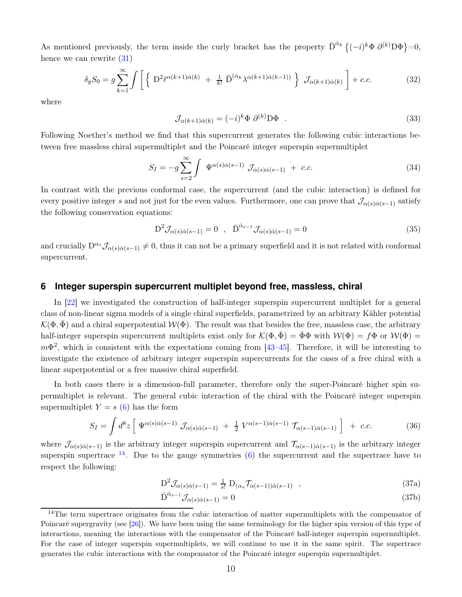As mentioned previously, the term inside the curly bracket has the property  $\bar{D}^{\dot{\alpha}_k} \{(-i)^k \Phi \partial^{(k)} D \Phi\} = 0$ , hence we can rewrite  $(31)$ 

$$
\delta_g S_0 = g \sum_{k=1}^{\infty} \int \left[ \left\{ D^2 \ell^{\alpha(k+1)\dot{\alpha}(k)} + \frac{1}{k!} \bar{D}^{(\dot{\alpha}_k} \lambda^{\alpha(k+1)\dot{\alpha}(k-1))} \right\} \mathcal{J}_{\alpha(k+1)\dot{\alpha}(k)} \right] + c.c.
$$
 (32)

where

<span id="page-9-2"></span><span id="page-9-1"></span>
$$
\mathcal{J}_{\alpha(k+1)\dot{\alpha}(k)} = (-i)^k \Phi \partial^{(k)} \mathcal{D}\Phi . \tag{33}
$$

Following Noether's method we find that this supercurrent generates the following cubic interactions between free massless chiral supermultiplet and the Poincaré integer superspin supermultiplet

$$
S_I = -g \sum_{s=2}^{\infty} \int \Psi^{\alpha(s)\dot{\alpha}(s-1)} \mathcal{J}_{\alpha(s)\dot{\alpha}(s-1)} + c.c.
$$
 (34)

In contrast with the previous conformal case, the supercurrent (and the cubic interaction) is defined for every positive integer s and not just for the even values. Furthermore, one can prove that  $\mathcal{J}_{\alpha(s)\dot{\alpha}(s-1)}$  satisfy the following conservation equations:

<span id="page-9-3"></span>
$$
D^2 \mathcal{J}_{\alpha(s)\dot{\alpha}(s-1)} = 0 \quad , \quad \bar{D}^{\dot{\alpha}_{s-1}} \mathcal{J}_{\alpha(s)\dot{\alpha}(s-1)} = 0 \tag{35}
$$

and crucially  $D^{\alpha_s} \mathcal{J}_{\alpha(s)\dot{\alpha}(s-1)} \neq 0$ , thus it can not be a primary superfield and it is not related with conformal supercurrent.

## **6 Integer superspin supercurrent multiplet beyond free, massless, chiral**

In [\[22\]](#page-13-7) we investigated the construction of half-integer superspin supercurrent multiplet for a general class of non-linear sigma models of a single chiral superfields, parametrized by an arbitrary Kähler potential  $\mathcal{K}(\Phi,\bar{\Phi})$  and a chiral superpotential  $\mathcal{W}(\Phi)$ . The result was that besides the free, massless case, the arbitrary half-integer superspin supercurrent multiplets exist only for  $\mathcal{K}(\Phi, \bar{\Phi}) = \bar{\Phi}\Phi$  with  $\mathcal{W}(\Phi) = f\Phi$  or  $\mathcal{W}(\Phi) =$  $m\Phi^2$ , which is consistent with the expectations coming from [\[43–](#page-15-2)[45\]](#page-15-3). Therefore, it will be interesting to investigate the existence of arbitrary integer superspin supercurrents for the cases of a free chiral with a linear superpotential or a free massive chiral superfield.

In both cases there is a dimension-full parameter, therefore only the super-Poincaré higher spin supermultiplet is relevant. The general cubic interaction of the chiral with the Poincaré integer superspin supermultiplet  $Y = s(6)$  has the form

$$
S_I = \int d^8 z \left[ \Psi^{\alpha(s)\dot{\alpha}(s-1)} \mathcal{J}_{\alpha(s)\dot{\alpha}(s-1)} + \frac{1}{2} V^{\alpha(s-1)\dot{\alpha}(s-1)} \mathcal{T}_{\alpha(s-1)\dot{\alpha}(s-1)} \right] + c.c.
$$
 (36)

where  $\mathcal{J}_{\alpha(s)\dot{\alpha}(s-1)}$  is the arbitrary integer superspin supercurrent and  $\mathcal{T}_{\alpha(s-1)\dot{\alpha}(s-1)}$  is the arbitrary integer superspin supertrace  $^{14}$  $^{14}$  $^{14}$ . Due to the gauge symmetries (6) the supercurrent and the supertrace have to respect the following:

$$
D^2 \mathcal{J}_{\alpha(s)\dot{\alpha}(s-1)} = \frac{1}{s!} D_{(\alpha_s} \mathcal{T}_{\alpha(s-1))\dot{\alpha}(s-1)}, \qquad (37a)
$$

$$
\bar{\mathbf{D}}^{\dot{\alpha}_{s-1}} \mathcal{J}_{\alpha(s)\dot{\alpha}(s-1)} = 0 \tag{37b}
$$

<span id="page-9-0"></span><sup>&</sup>lt;sup>14</sup>The term supertrace originates from the cubic interaction of matter supermultiplets with the compensator of Poincaré supergravity (see [\[26\]](#page-14-2)). We have been using the same terminology for the higher spin version of this type of interactions, meaning the interactions with the compensator of the Poincaré half-integer superspin supermultiplet. For the case of integer superspin supermultiplets, we will continue to use it in the same spirit. The supertrace generates the cubic interactions with the compensator of the Poincaré integer superspin supermultiplet.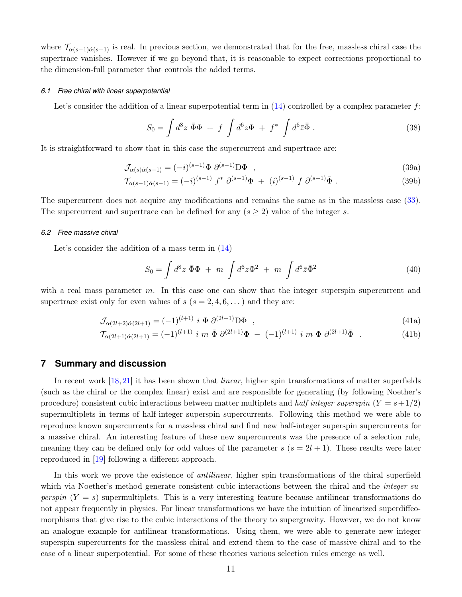where  $\mathcal{T}_{\alpha(s-1)\dot{\alpha}(s-1)}$  is real. In previous section, we demonstrated that for the free, massless chiral case the supertrace vanishes. However if we go beyond that, it is reasonable to expect corrections proportional to the dimension-full parameter that controls the added terms.

#### *6.1 Free chiral with linear superpotential*

Let's consider the addition of a linear superpotential term in  $(14)$  controlled by a complex parameter f:

$$
S_0 = \int d^8 z \; \bar{\Phi} \Phi + f \int d^6 z \Phi + f^* \int d^6 \bar{z} \bar{\Phi} \; . \tag{38}
$$

It is straightforward to show that in this case the supercurrent and supertrace are:

$$
\mathcal{J}_{\alpha(s)\dot{\alpha}(s-1)} = (-i)^{(s-1)} \Phi \partial^{(s-1)} D\Phi , \qquad (39a)
$$

$$
\mathcal{T}_{\alpha(s-1)\dot{\alpha}(s-1)} = (-i)^{(s-1)} f^* \partial^{(s-1)} \Phi + (i)^{(s-1)} f \partial^{(s-1)} \bar{\Phi}.
$$
\n(39b)

The supercurrent does not acquire any modifications and remains the same as in the massless case [\(33\)](#page-9-1). The supercurrent and supertrace can be defined for any  $(s \geq 2)$  value of the integer s.

#### *6.2 Free massive chiral*

Let's consider the addition of a mass term in  $(14)$ 

$$
S_0 = \int d^8 z \; \bar{\Phi}\Phi \; + \; m \; \int d^6 z \Phi^2 \; + \; m \; \int d^6 \bar{z} \bar{\Phi}^2 \tag{40}
$$

with a real mass parameter m. In this case one can show that the integer superspin supercurrent and supertrace exist only for even values of  $s$  ( $s = 2, 4, 6, \ldots$ ) and they are:

$$
\mathcal{J}_{\alpha(2l+2)\dot{\alpha}(2l+1)} = (-1)^{(l+1)} i \Phi \partial^{(2l+1)} \mathcal{D} \Phi , \qquad (41a)
$$

$$
\mathcal{T}_{\alpha(2l+1)\dot{\alpha}(2l+1)} = (-1)^{(l+1)} i \, m \, \bar{\Phi} \, \partial^{(2l+1)} \Phi - (-1)^{(l+1)} i \, m \, \Phi \, \partial^{(2l+1)} \bar{\Phi} \quad . \tag{41b}
$$

### **7 Summary and discussion**

In recent work [\[18,](#page-13-0) [21\]](#page-13-1) it has been shown that *linear*, higher spin transformations of matter superfields (such as the chiral or the complex linear) exist and are responsible for generating (by following Noether's procedure) consistent cubic interactions between matter multiplets and half integer superspin  $(Y = s + 1/2)$ supermultiplets in terms of half-integer superspin supercurrents. Following this method we were able to reproduce known supercurrents for a massless chiral and find new half-integer superspin supercurrents for a massive chiral. An interesting feature of these new supercurrents was the presence of a selection rule, meaning they can be defined only for odd values of the parameter  $s$  ( $s = 2l + 1$ ). These results were later reproduced in [\[19\]](#page-13-9) following a different approach.

In this work we prove the existence of *antilinear*, higher spin transformations of the chiral superfield which via Noether's method generate consistent cubic interactions between the chiral and the *integer su*perspin  $(Y = s)$  supermultiplets. This is a very interesting feature because antilinear transformations do not appear frequently in physics. For linear transformations we have the intuition of linearized superdiffeomorphisms that give rise to the cubic interactions of the theory to supergravity. However, we do not know an analogue example for antilinear transformations. Using them, we were able to generate new integer superspin supercurrents for the massless chiral and extend them to the case of massive chiral and to the case of a linear superpotential. For some of these theories various selection rules emerge as well.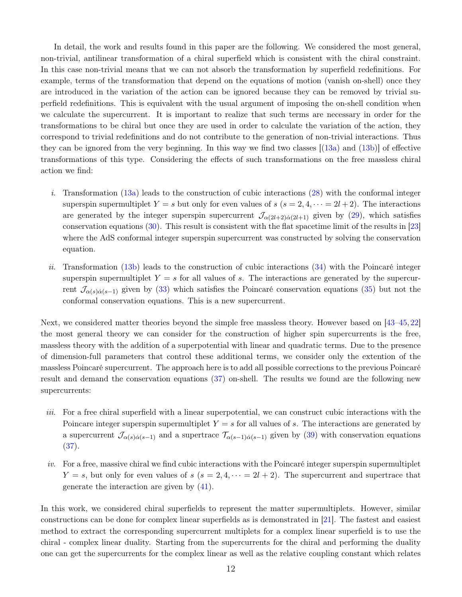In detail, the work and results found in this paper are the following. We considered the most general, non-trivial, antilinear transformation of a chiral superfield which is consistent with the chiral constraint. In this case non-trivial means that we can not absorb the transformation by superfield redefinitions. For example, terms of the transformation that depend on the equations of motion (vanish on-shell) once they are introduced in the variation of the action can be ignored because they can be removed by trivial superfield redefinitions. This is equivalent with the usual argument of imposing the on-shell condition when we calculate the supercurrent. It is important to realize that such terms are necessary in order for the transformations to be chiral but once they are used in order to calculate the variation of the action, they correspond to trivial redefinitions and do not contribute to the generation of non-trivial interactions. Thus they can be ignored from the very beginning. In this way we find two classes  $[(13a)$  $[(13a)$  and  $(13b)]$  of effective transformations of this type. Considering the effects of such transformations on the free massless chiral action we find:

- i. Transformation  $(13a)$  leads to the construction of cubic interactions  $(28)$  with the conformal integer superspin supermultiplet  $Y = s$  but only for even values of  $s$   $(s = 2, 4, \dots = 2l + 2)$ . The interactions are generated by the integer superspin supercurrent  $\mathcal{J}_{\alpha(2l+2)\dot{\alpha}(2l+1)}$  given by [\(29\)](#page-8-0), which satisfies conservation equations [\(30\)](#page-8-4). This result is consistent with the flat spacetime limit of the results in [\[23\]](#page-13-8) where the AdS conformal integer superspin supercurrent was constructed by solving the conservation equation.
- ii. Transformation [\(13b\)](#page-5-1) leads to the construction of cubic interactions  $(34)$  with the Poincaré integer superspin supermultiplet  $Y = s$  for all values of s. The interactions are generated by the supercurrent  $\mathcal{J}_{\alpha(s)\dot{\alpha}(s-1)}$  given by [\(33\)](#page-9-1) which satisfies the Poincaré conservation equations [\(35\)](#page-9-3) but not the conformal conservation equations. This is a new supercurrent.

Next, we considered matter theories beyond the simple free massless theory. However based on [\[43](#page-15-2)[–45,](#page-15-3) [22\]](#page-13-7) the most general theory we can consider for the construction of higher spin supercurrents is the free, massless theory with the addition of a superpotential with linear and quadratic terms. Due to the presence of dimension-full parameters that control these additional terms, we consider only the extention of the massless Poincaré supercurrent. The approach here is to add all possible corrections to the previous Poincaré result and demand the conservation equations (37) on-shell. The results we found are the following new supercurrents:

- iii. For a free chiral superfield with a linear superpotential, we can construct cubic interactions with the Poincare integer superspin supermultiplet  $Y = s$  for all values of s. The interactions are generated by a supercurrent  $\mathcal{J}_{\alpha(s)\dot{\alpha}(s-1)}$  and a supertrace  $\mathcal{T}_{\alpha(s-1)\dot{\alpha}(s-1)}$  given by (39) with conservation equations (37).
- $iv.$  For a free, massive chiral we find cubic interactions with the Poincaré integer superspin supermultiplet  $Y = s$ , but only for even values of  $s$   $(s = 2, 4, \dots = 2l + 2)$ . The supercurrent and supertrace that generate the interaction are given by (41).

In this work, we considered chiral superfields to represent the matter supermultiplets. However, similar constructions can be done for complex linear superfields as is demonstrated in [\[21\]](#page-13-1). The fastest and easiest method to extract the corresponding supercurrent multiplets for a complex linear superfield is to use the chiral - complex linear duality. Starting from the supercurrents for the chiral and performing the duality one can get the supercurrents for the complex linear as well as the relative coupling constant which relates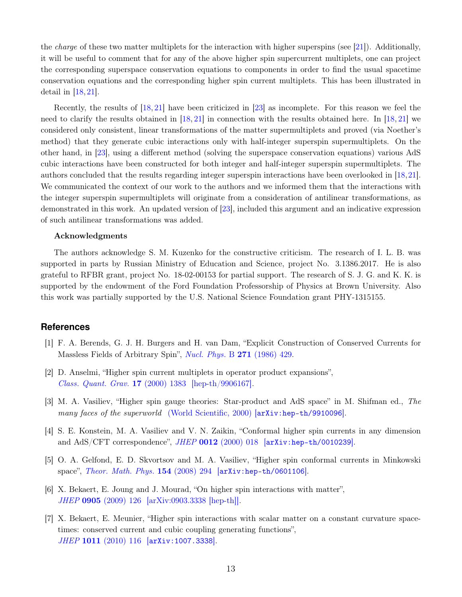the *charge* of these two matter multiplets for the interaction with higher superspins (see [\[21\]](#page-13-1)). Additionally, it will be useful to comment that for any of the above higher spin supercurrent multiplets, one can project the corresponding superspace conservation equations to components in order to find the usual spacetime conservation equations and the corresponding higher spin current multiplets. This has been illustrated in detail in  $[18, 21]$  $[18, 21]$ .

Recently, the results of [\[18,](#page-13-0) [21\]](#page-13-1) have been criticized in [\[23\]](#page-13-8) as incomplete. For this reason we feel the need to clarify the results obtained in [\[18,](#page-13-0) [21\]](#page-13-1) in connection with the results obtained here. In [\[18,](#page-13-0) [21\]](#page-13-1) we considered only consistent, linear transformations of the matter supermultiplets and proved (via Noether's method) that they generate cubic interactions only with half-integer superspin supermultiplets. On the other hand, in [\[23\]](#page-13-8), using a different method (solving the superspace conservation equations) various AdS cubic interactions have been constructed for both integer and half-integer superspin supermultiplets. The authors concluded that the results regarding integer superspin interactions have been overlooked in [\[18,](#page-13-0)[21\]](#page-13-1). We communicated the context of our work to the authors and we informed them that the interactions with the integer superspin supermultiplets will originate from a consideration of antilinear transformations, as demonstrated in this work. An updated version of [\[23\]](#page-13-8), included this argument and an indicative expression of such antilinear transformations was added.

#### Acknowledgments

The authors acknowledge S. M. Kuzenko for the constructive criticism. The research of I. L. B. was supported in parts by Russian Ministry of Education and Science, project No. 3.1386.2017. He is also grateful to RFBR grant, project No. 18-02-00153 for partial support. The research of S. J. G. and K. K. is supported by the endowment of the Ford Foundation Professorship of Physics at Brown University. Also this work was partially supported by the U.S. National Science Foundation grant PHY-1315155.

## <span id="page-12-0"></span>**References**

- [1] F. A. Berends, G. J. H. Burgers and H. van Dam, "Explicit Construction of Conserved Currents for Massless Fields of Arbitrary Spin", [Nucl. Phys.](https://doi.org/10.1016/0550-3213(86)90325-1) B 271 (1986) 429.
- [2] D. Anselmi, "Higher spin current multiplets in operator product expansions", [Class. Quant. Grav.](https://doi.org/10.1088/0264-9381/17/6/305) 17 (2000) 1383 [\[hep-th/9906167\].](http://arxiv.org/abs/hep-th/9906167)
- [3] M. A. Vasiliev, "Higher spin gauge theories: Star-product and AdS space" in M. Shifman ed., The many faces of the superworld [\(World Scientific, 2000\)](https://www.worldscientific.com/doi/abs/10.1142/9789812793850_0030) [[arXiv:hep-th/9910096](https://arxiv.org/abs/hep-th/9910096)].
- [4] S. E. Konstein, M. A. Vasiliev and V. N. Zaikin, "Conformal higher spin currents in any dimension and  $AdS/CFT$  correspondence", JHEP 0012 [\(2000\) 018](https://doi.org/10.1088/1126-6708/2000/12/018)  $|arXiv:hep-th/0010239|$  $|arXiv:hep-th/0010239|$  $|arXiv:hep-th/0010239|$ .
- [5] O. A. Gelfond, E. D. Skvortsov and M. A. Vasiliev, "Higher spin conformal currents in Minkowski space", [Theor. Math. Phys.](https://doi.org/10.1007/s11232-008-0027-6) 154 (2008) 294 [[arXiv:hep-th/0601106](http://arxiv.org/abs/hep-th/0601106)].
- [6] X. Bekaert, E. Joung and J. Mourad, "On higher spin interactions with matter", JHEP 0905 [\(2009\) 126 \[arXiv:0903.3338 \[hep-th\]\].](https://doi.org/10.1088/1126-6708/2009/05/126)
- [7] X. Bekaert, E. Meunier, "Higher spin interactions with scalar matter on a constant curvature spacetimes: conserved current and cubic coupling generating functions", JHEP 1011 [\(2010\) 116](https://doi.org/10.1007/JHEP11(2010)116) **[arXiv:1007.3338](http://arxiv.org/abs/arXiv:1007.4384)**.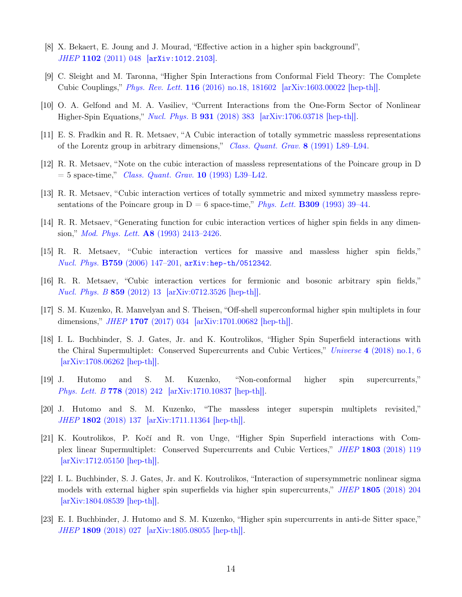- [8] X. Bekaert, E. Joung and J. Mourad, "Effective action in a higher spin background", JHEP 1102 [\(2011\) 048](https://doi.org/10.1007/JHEP02(2011)048) [[arXiv:1012.2103](http://arxiv.org/abs/arXiv:1012.2103)].
- <span id="page-13-2"></span>[9] C. Sleight and M. Taronna, "Higher Spin Interactions from Conformal Field Theory: The Complete Cubic Couplings," Phys. Rev. Lett. 116 [\(2016\) no.18, 181602](https://doi.org/10.1103/PhysRevLett.116.181602) [\[arXiv:1603.00022 \[hep-th\]\].](http://arxiv.org/abs/arXiv:1603.00022)
- <span id="page-13-3"></span>[10] O. A. Gelfond and M. A. Vasiliev, "Current Interactions from the One-Form Sector of Nonlinear Higher-Spin Equations," [Nucl. Phys.](https://doi.org/10.1016/j.nuclphysb.2018.04.017) B 931 (2018) 383 [\[arXiv:1706.03718 \[hep-th\]\].](http://arxiv.org/abs/arXiv:1706.03718)
- [11] E. S. Fradkin and R. R. Metsaev, "A Cubic interaction of totally symmetric massless representations of the Lorentz group in arbitrary dimensions," [Class. Quant. Grav.](https://doi.org/10.1088/0264-9381/8/4/004) 8 (1991) L89–L94.
- [12] R. R. Metsaev, "Note on the cubic interaction of massless representations of the Poincare group in D  $= 5$  space-time," *[Class. Quant. Grav.](https://doi.org/10.1088/0264-9381/10/3/002)* **10** (1993) L39–L42.
- [13] R. R. Metsaev, "Cubic interaction vertices of totally symmetric and mixed symmetry massless representations of the Poincare group in  $D = 6$  space-time," *Phys. Lett.* **B309** [\(1993\) 39–44.](http://dx.doi.org/10.1016/0370-2693(93)91500-M)
- [14] R. R. Metsaev, "Generating function for cubic interaction vertices of higher spin fields in any dimension," Mod. Phys. Lett. A8 [\(1993\) 2413–2426.](http://dx.doi.org/10.1142/S0217732393003706)
- <span id="page-13-4"></span>[15] R. R. Metsaev, "Cubic interaction vertices for massive and massless higher spin fields," Nucl. Phys. B759 [\(2006\) 147–201,](http://dx.doi.org/10.1016/j.nuclphysb.2006.10.002) [arXiv:hep-th/0512342](http://arxiv.org/abs/hep-th/0512342).
- <span id="page-13-5"></span>[16] R. R. Metsaev, "Cubic interaction vertices for fermionic and bosonic arbitrary spin fields," [Nucl. Phys. B](https://doi.org/10.1016/j.nuclphysb.2012.01.022) 859 (2012) 13 [\[arXiv:0712.3526 \[hep-th\]\].](http://arxiv.org/abs/arXiv:0712.3526)
- <span id="page-13-0"></span>[17] S. M. Kuzenko, R. Manvelyan and S. Theisen, "Off-shell superconformal higher spin multiplets in four dimensions," JHEP 1707 [\(2017\) 034](https://doi.org/10.1007/JHEP07(2017)034) [\[arXiv:1701.00682 \[hep-th\]\].](http://arxiv.org/abs/arXiv:1701.00682)
- [18] I. L. Buchbinder, S. J. Gates, Jr. and K. Koutrolikos, "Higher Spin Superfield interactions with the Chiral Supermultiplet: Conserved Supercurrents and Cubic Vertices," Universe 4 [\(2018\) no.1, 6](https://doi.org/10.3390/universe4010006)  $\arXiv:1708.06262$  [hep-th].
- <span id="page-13-9"></span><span id="page-13-6"></span>[19] J. Hutomo and S. M. Kuzenko, "Non-conformal higher spin supercurrents," [Phys. Lett. B](https://doi.org/10.1016/j.physletb.2018.01.045) 778 (2018) 242 [\[arXiv:1710.10837 \[hep-th\]\].](http://arxiv.org/abs/arXiv:1710.10837)
- <span id="page-13-1"></span>[20] J. Hutomo and S. M. Kuzenko, "The massless integer superspin multiplets revisited," JHEP 1802 [\(2018\) 137](https://doi.org/10.1007/JHEP02(2018)137) [\[arXiv:1711.11364 \[hep-th\]\].](http://arxiv.org/abs/arXiv:1711.11364)
- [21] K. Koutrolikos, P. Kočí and R. von Unge, "Higher Spin Superfield interactions with Complex linear Supermultiplet: Conserved Supercurrents and Cubic Vertices," JHEP 1803 [\(2018\) 119](https://doi.org/10.1007/JHEP03(2018)119)  $\arXiv:1712.05150$  |hep-th||.
- <span id="page-13-7"></span>[22] I. L. Buchbinder, S. J. Gates, Jr. and K. Koutrolikos, "Interaction of supersymmetric nonlinear sigma models with external higher spin superfields via higher spin supercurrents," JHEP 1805 [\(2018\) 204](https://doi.org/10.1007/JHEP05(2018)204) [\[arXiv:1804.08539 \[hep-th\]\].](http://arxiv.org/abs/arXiv:1804.08539)
- <span id="page-13-8"></span>[23] E. I. Buchbinder, J. Hutomo and S. M. Kuzenko, "Higher spin supercurrents in anti-de Sitter space," JHEP 1809 [\(2018\) 027](https://doi.org/10.1007/JHEP09(2018)027) [\[arXiv:1805.08055 \[hep-th\]\].](http://arxiv.org/abs/arXiv:1805.08055)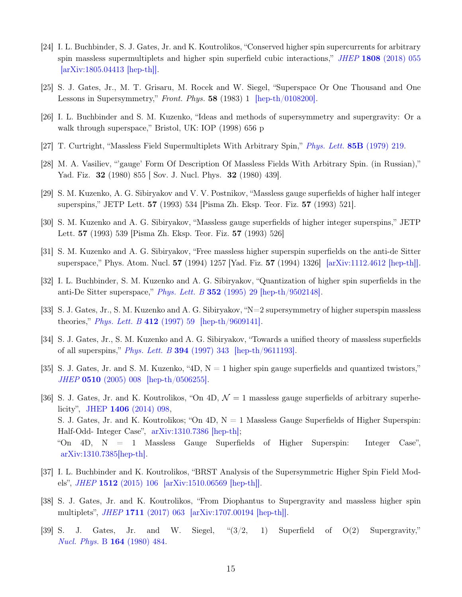- <span id="page-14-0"></span>[24] I. L. Buchbinder, S. J. Gates, Jr. and K. Koutrolikos, "Conserved higher spin supercurrents for arbitrary spin massless supermultiplets and higher spin superfield cubic interactions," JHEP 1808 [\(2018\) 055](https://doi.org/10.1007/JHEP08(2018)055) [\[arXiv:1805.04413 \[hep-th\]\].](http://arxiv.org/abs/arXiv:1805.04413)
- <span id="page-14-2"></span><span id="page-14-1"></span>[25] S. J. Gates, Jr., M. T. Grisaru, M. Rocek and W. Siegel, "Superspace Or One Thousand and One Lessons in Supersymmetry," Front. Phys. 58 (1983) 1 [\[hep-th/0108200\].](http://arxiv.org/abs/hep-th/0108200)
- <span id="page-14-5"></span>[26] I. L. Buchbinder and S. M. Kuzenko, "Ideas and methods of supersymmetry and supergravity: Or a walk through superspace," Bristol, UK: IOP (1998) 656 p
- <span id="page-14-6"></span>[27] T. Curtright, "Massless Field Supermultiplets With Arbitrary Spin," [Phys. Lett.](https://doi.org/10.1016/0370-2693(79)90583-5) 85B (1979) 219.
- <span id="page-14-7"></span>[28] M. A. Vasiliev, "'gauge' Form Of Description Of Massless Fields With Arbitrary Spin. (in Russian)," Yad. Fiz. 32 (1980) 855 | Sov. J. Nucl. Phys. 32 (1980) 439].
- [29] S. M. Kuzenko, A. G. Sibiryakov and V. V. Postnikov, "Massless gauge superfields of higher half integer superspins," JETP Lett. 57 (1993) 534 [Pisma Zh. Eksp. Teor. Fiz. 57 (1993) 521].
- <span id="page-14-8"></span>[30] S. M. Kuzenko and A. G. Sibiryakov, "Massless gauge superfields of higher integer superspins," JETP Lett. 57 (1993) 539 [Pisma Zh. Eksp. Teor. Fiz. 57 (1993) 526]
- <span id="page-14-9"></span>[31] S. M. Kuzenko and A. G. Sibiryakov, "Free massless higher superspin superfields on the anti-de Sitter superspace," Phys. Atom. Nucl. 57 (1994) 1257 [Yad. Fiz. 57 (1994) 1326] [\[arXiv:1112.4612 \[hep-th\]\].](http://arxiv.org/abs/arXiv:1112.4612)
- [32] I. L. Buchbinder, S. M. Kuzenko and A. G. Sibiryakov, "Quantization of higher spin superfields in the anti-De Sitter superspace," *[Phys. Lett. B](https://doi.org/10.1016/0370-2693(95)00484-3)*  $352$  (1995) 29 [\[hep-th/9502148\].](http://arxiv.org/abs/hep-th/9502148)
- [33] S. J. Gates, Jr., S. M. Kuzenko and A. G. Sibiryakov, "N=2 supersymmetry of higher superspin massless theories," *[Phys. Lett. B](https://doi.org/10.1016/S0370-2693(97)01037-X)* 412 (1997) 59 [\[hep-th/9609141\].](http://arxiv.org/abs/hep-th/9609141)
- <span id="page-14-10"></span>[34] S. J. Gates, Jr., S. M. Kuzenko and A. G. Sibiryakov, "Towards a unified theory of massless superfields of all superspins," [Phys. Lett. B](https://doi.org/10.1016/S0370-2693(97)00034-8) 394 (1997) 343 [\[hep-th/9611193\].](http://arxiv.org/abs/hep-th/9611193)
- <span id="page-14-3"></span>[35] S. J. Gates, Jr. and S. M. Kuzenko, "4D,  $N = 1$  higher spin gauge superfields and quantized twistors," JHEP 0510 [\(2005\) 008](https://doi.org/10.1088/1126-6708/2005/10/008) [\[hep-th/0506255\].](http://arxiv.org/abs/hep-th/0506255)
- [36] S. J. Gates, Jr. and K. Koutrolikos, "On 4D,  $\mathcal{N}=1$  massless gauge superfields of arbitrary superhelicity", JHEP 1406 [\(2014\) 098,](https://doi.org/10.1007/JHEP06(2014)098) S. J. Gates, Jr. and K. Koutrolikos; "On  $4D$ ,  $N = 1$  Massless Gauge Superfields of Higher Superspin: Half-Odd- Integer Case", [arXiv:1310.7386 \[hep-th\];](https://arxiv.org/abs/1310.7386) "On 4D, N = 1 Massless Gauge Superfields of Higher Superspin: Integer Case", [arXiv:1310.7385\[hep-th\].](https://arxiv.org/abs/1310.7385)
- <span id="page-14-4"></span>[37] I. L. Buchbinder and K. Koutrolikos, "BRST Analysis of the Supersymmetric Higher Spin Field Models", JHEP 1512 [\(2015\) 106 \[arXiv:1510.06569 \[hep-th\]\].](https://doi.org/10.1007/JHEP12(2015)106)
- <span id="page-14-11"></span>[38] S. J. Gates, Jr. and K. Koutrolikos, "From Diophantus to Supergravity and massless higher spin multiplets", JHEP 1711 [\(2017\) 063](https://doi.org/10.1007/JHEP11(2017)063) [\[arXiv:1707.00194 \[hep-th\]\].](http://arxiv.org/abs/arXiv:1707.00194)
- [39] S. J. Gates, Jr. and W. Siegel, "(3/2, 1) Superfield of O(2) Supergravity," [Nucl. Phys.](https://doi.org/10.1016/0550-3213(80)90522-2) B 164 (1980) 484.